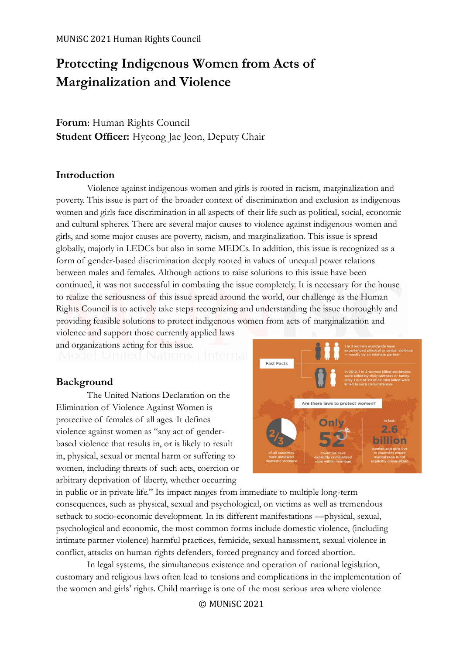# **Protecting Indigenous Women from Acts of Marginalization and Violence**

**Forum**: Human Rights Council **Student Officer:** Hyeong Jae Jeon, Deputy Chair

#### **Introduction**

Violence against indigenous women and girls is rooted in racism, marginalization and poverty. This issue is part of the broader context of discrimination and exclusion as indigenous women and girls face discrimination in all aspects of their life such as political, social, economic and cultural spheres. There are several major causes to violence against indigenous women and girls, and some major causes are poverty, racism, and marginalization. This issue is spread globally, majorly in LEDCs but also in some MEDCs. In addition, this issue is recognized as a form of gender-based discrimination deeply rooted in values of unequal power relations between males and females. Although actions to raise solutions to this issue have been continued, it was not successful in combating the issue completely. It is necessary for the house to realize the seriousness of this issue spread around the world, our challenge as the Human Rights Council is to actively take steps recognizing and understanding the issue thoroughly and providing feasible solutions to protect indigenous women from acts of marginalization and

violence and support those currently applied laws and organizations acting for this issue.

## **Background**

The United Nations Declaration on the Elimination of Violence Against Women is protective of females of all ages. It defines violence against women as "any act of genderbased violence that results in, or is likely to result in, physical, sexual or mental harm or suffering to women, including threats of such acts, coercion or arbitrary deprivation of liberty, whether occurring



in public or in private life." Its impact ranges from immediate to multiple long-term consequences, such as physical, sexual and psychological, on victims as well as tremendous setback to socio-economic development. In its different manifestations —physical, sexual, psychological and economic, the most common forms include domestic violence, (including intimate partner violence) harmful practices, femicide, sexual harassment, sexual violence in conflict, attacks on human rights defenders, forced pregnancy and forced abortion.

In legal systems, the simultaneous existence and operation of national legislation, customary and religious laws often lead to tensions and complications in the implementation of the women and girls' rights. Child marriage is one of the most serious area where violence

© MUNiSC 2021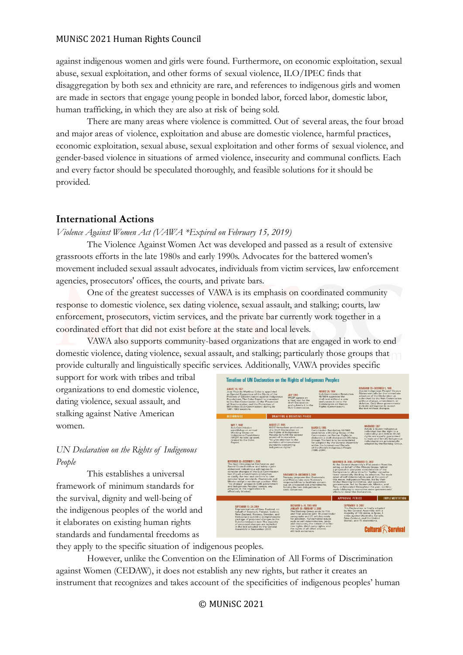against indigenous women and girls were found. Furthermore, on economic exploitation, sexual abuse, sexual exploitation, and other forms of sexual violence, ILO/IPEC finds that disaggregation by both sex and ethnicity are rare, and references to indigenous girls and women are made in sectors that engage young people in bonded labor, forced labor, domestic labor, human trafficking, in which they are also at risk of being sold.

There are many areas where violence is committed. Out of several areas, the four broad and major areas of violence, exploitation and abuse are domestic violence, harmful practices, economic exploitation, sexual abuse, sexual exploitation and other forms of sexual violence, and gender-based violence in situations of armed violence, insecurity and communal conflicts. Each and every factor should be speculated thoroughly, and feasible solutions for it should be provided.

# **International Actions**

## *Violence Against Women Act (VAWA \*Expired on February 15, 2019)*

The Violence Against Women Act was developed and passed as a result of extensive grassroots efforts in the late 1980s and early 1990s. Advocates for the battered women's movement included sexual assault advocates, individuals from victim services, law enforcement agencies, prosecutors' offices, the courts, and private bars.

One of the greatest successes of VAWA is its emphasis on coordinated community response to domestic violence, sex dating violence, sexual assault, and stalking; courts, law enforcement, prosecutors, victim services, and the private bar currently work together in a coordinated effort that did not exist before at the state and local levels.

VAWA also supports community-based organizations that are engaged in work to end domestic violence, dating violence, sexual assault, and stalking; particularly those groups that provide culturally and linguistically specific services. Additionally, VAWA provides specific

support for work with tribes and tribal organizations to end domestic violence, dating violence, sexual assault, and stalking against Native American women.

# *UN Declaration on the Rights of Indigenous People*

This establishes a universal framework of minimum standards for the survival, dignity and well-being of the indigenous peoples of the world and it elaborates on existing human rights standards and fundamental freedoms as

| <b>AUGUST 18 1971</b><br>José Ricardo Martínez Cobo is appointed<br>as Special Rapporteur of the Study of the<br>Problem of Discrimination against Indigenous<br>Populations. The Cobo Report is presented<br>to the Sub-Commission on the Prevention<br>of Discrimination and the Protection of<br>Minorities (Sub-Commission) during its<br>1981-1983 sessions.                                                                                                                                                   |                                                                                                | <b>JULY 1993</b><br>WGIP agrees on<br>a final text for the<br>draft Declaration<br>and submits it to the<br>Sub-Commission.                                                                                                        | <b>AUGUST 26, 1994</b>                                                                                                                                                                                                                                                | <b>Sub-Commission Resolution</b><br>45/1994 approves the<br>draft text without a vote<br>and passes it on to the<br>Commission on Human<br>Rights (Commission).                                                                                                                                                                                                                                                                                                                                                                                                                                                                         | NOVEMBER 20-DECEMBER 1, 1995<br>A joint Indigenous People' Caucus<br>Statement calls for the immediate<br>adoption of the Declaration as<br>submitted by the Sub-Commission<br>without change, amendment, or<br>deletion. Only three governments<br>indicate willingness to accept<br>the text without changes. |
|---------------------------------------------------------------------------------------------------------------------------------------------------------------------------------------------------------------------------------------------------------------------------------------------------------------------------------------------------------------------------------------------------------------------------------------------------------------------------------------------------------------------|------------------------------------------------------------------------------------------------|------------------------------------------------------------------------------------------------------------------------------------------------------------------------------------------------------------------------------------|-----------------------------------------------------------------------------------------------------------------------------------------------------------------------------------------------------------------------------------------------------------------------|-----------------------------------------------------------------------------------------------------------------------------------------------------------------------------------------------------------------------------------------------------------------------------------------------------------------------------------------------------------------------------------------------------------------------------------------------------------------------------------------------------------------------------------------------------------------------------------------------------------------------------------------|-----------------------------------------------------------------------------------------------------------------------------------------------------------------------------------------------------------------------------------------------------------------------------------------------------------------|
| <b>BEGINNINGS</b>                                                                                                                                                                                                                                                                                                                                                                                                                                                                                                   |                                                                                                | <b>DRAFTING &amp; DEBATING PHASE</b>                                                                                                                                                                                               |                                                                                                                                                                                                                                                                       |                                                                                                                                                                                                                                                                                                                                                                                                                                                                                                                                                                                                                                         |                                                                                                                                                                                                                                                                                                                 |
| <b>MAY 7, 1982</b><br>Sub-Commission<br>leurno os sedsiblates<br>Working Group on<br>Indigenous Populations<br>(WGIP) to take up work<br>related to the Cobo<br>Report.                                                                                                                                                                                                                                                                                                                                             | <b>AUGUST 27, 1985</b><br>aspect of its mandate<br>standards concerning<br>Indigenous rights." | WGIP formalizes production<br>of a Draft Declaration on<br>the Rights of Indigenous<br>Peoples to fulfill the second<br>"to give attention to the<br>evolution of international                                                    | <b>MARCH 3, 1995</b><br>(1995-2004).                                                                                                                                                                                                                                  | Commission Resolution 32/1995<br>establishes a Working Group of the<br>Commission on Human Rights to<br>elaborate a draft declaration (Working,<br>Group). The text is to be considered<br>for adoption by the General Assembly<br>within the International Decade<br>of the World's Indigenous People                                                                                                                                                                                                                                                                                                                                  | NOVEMBER 1997<br>Article 5 (Every Indigenous<br>individual has the right to a<br>nationality) and Article 43 (All<br>rights are equally quaranteed.<br>to male and female Indigenous<br>individuals) are provisionally<br>adopted by the Working Group.                                                         |
| NOVEMBER 20-DECEMBER 1 2000<br>The Inuit Circumpolar Conference and<br>Saami Council deliver and lobby a joint<br>statement indicating a willingness to<br>consider changes in the Sub-Commission<br>text if such amendments strengthen<br>or clarify the text and conform to inter<br>national legal standards. Guatemala and<br>Mexico adopt a no-change position. With<br>"no-change" groups in both government<br>and Indigenous Peoples' camps, any<br>progress in the negotiations is<br>effectively blocked. |                                                                                                | NOVEMBER 29-DECEMBER 3, 2004<br>Norway proposes that Guatemala<br>and Mexico take over Norway's<br>responsibilities to facilitate consen-<br>sus on proposed text amendments.<br>forcing the two delegations to<br>seek consensus. |                                                                                                                                                                                                                                                                       | NOVEMBER 28, 2006-SEPTEMBER 13, 2007<br>At the General Assembly's 61st session Namibia.<br>acting on behalf of the African Group, tabled<br>a proposal to postpone consideration of the<br>Declaration to allow time for 'further consulta-<br>tions' essentially blocking its adoption. The main<br>issue of self-determination was at the core of<br>this move. Indigenous Peoples, led by their<br>Global Steering Committee, and supportive<br>governments, led by Guatemala, Mexico, and<br>Peru, collaborated throughout the year, continu-<br>ously lobbying to overcome some governments'<br>efforts to derail the Declaration. |                                                                                                                                                                                                                                                                                                                 |
|                                                                                                                                                                                                                                                                                                                                                                                                                                                                                                                     |                                                                                                |                                                                                                                                                                                                                                    |                                                                                                                                                                                                                                                                       | <b>APPROVAL PERIOD</b>                                                                                                                                                                                                                                                                                                                                                                                                                                                                                                                                                                                                                  | <b>IMPLEMENTATION</b>                                                                                                                                                                                                                                                                                           |
| <b>SEPTEMBER 13-24, 2004</b><br>Representatives of New Zealand, on<br>behalf of Denmark, Finland, Iceland,<br>New Zealand, Norway, Sweden, and<br>Switzerland submit a comprehensive<br>package of proposed changes to the<br>Sub-Commission text. The majority<br>of proposed changes are included<br>in the text adopted by the General<br>Assembly in September 2007.                                                                                                                                            |                                                                                                | DECHABER 5-16, 2005 AND<br>JANUARY 38-FEBRUARY 3 2006<br>the rights of all other citizens<br>still lack consensus.                                                                                                                 | The Working Group ends its 11th<br>and final session with 16 preambular<br>paragraphs and 21 articles ready<br>for adoption. Fundamental issues.<br>such as self-determination, lands<br>and resources, the nature of collec-<br>tive rights, third party rights, and | <b>SEPTEMBER 13, 2007</b>                                                                                                                                                                                                                                                                                                                                                                                                                                                                                                                                                                                                               | The Declaration is finally adopted<br>by the General Assembly with a<br>majority of 143 states in favor, 4<br>votes against (Australia, Canada,<br>New Zealand, and the United<br>States), and 11 abstentions.<br><b>Cultural &amp; Survival</b>                                                                |

they apply to the specific situation of indigenous peoples.

However, unlike the Convention on the Elimination of All Forms of Discrimination against Women (CEDAW), it does not establish any new rights, but rather it creates an instrument that recognizes and takes account of the specificities of indigenous peoples' human

## © MUNiSC 2021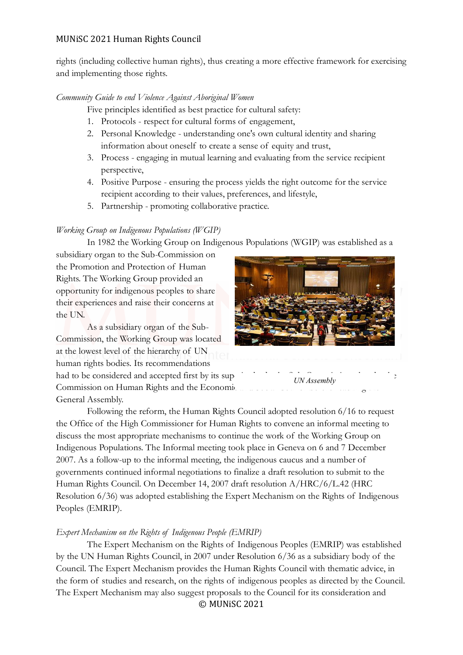rights (including collective human rights), thus creating a more effective framework for exercising and implementing those rights.

#### *Community Guide to end Violence Against Aboriginal Women*

Five principles identified as best practice for cultural safety:

- 1. Protocols respect for cultural forms of engagement,
- 2. Personal Knowledge understanding one's own cultural identity and sharing information about oneself to create a sense of equity and trust,
- 3. Process engaging in mutual learning and evaluating from the service recipient perspective,
- 4. Positive Purpose ensuring the process yields the right outcome for the service recipient according to their values, preferences, and lifestyle,
- 5. Partnership promoting collaborative practice.

#### *Working Group on Indigenous Populations (WGIP)*

In 1982 the Working Group on Indigenous Populations (WGIP) was established as a

subsidiary organ to the Sub-Commission on the Promotion and Protection of Human Rights. The Working Group provided an opportunity for indigenous peoples to share their experiences and raise their concerns at the UN.

As a subsidiary organ of the Sub-Commission, the Working Group was located at the lowest level of the hierarchy of UN human rights bodies. Its recommendations

had to be considered and accepted first by its sup Commission on Human Rights and the Economic General Assembly.



*UN Assembly*

Following the reform, the Human Rights Council adopted resolution 6/16 to request the Office of the High Commissioner for Human Rights to convene an informal meeting to discuss the most appropriate mechanisms to continue the work of the Working Group on Indigenous Populations. The Informal meeting took place in Geneva on 6 and 7 December 2007. As a follow-up to the informal meeting, the indigenous caucus and a number of governments continued informal negotiations to finalize a draft resolution to submit to the Human Rights Council. On December 14, 2007 draft resolution A/HRC/6/L.42 (HRC Resolution 6/36) was adopted establishing the Expert Mechanism on the Rights of Indigenous Peoples (EMRIP).

### *Expert Mechanism on the Rights of Indigenous People (EMRIP)*

© MUNiSC 2021 The Expert Mechanism on the Rights of Indigenous Peoples (EMRIP) was established by the UN Human Rights Council, in 2007 under Resolution 6/36 as a subsidiary body of the Council. The Expert Mechanism provides the Human Rights Council with thematic advice, in the form of studies and research, on the rights of indigenous peoples as directed by the Council. The Expert Mechanism may also suggest proposals to the Council for its consideration and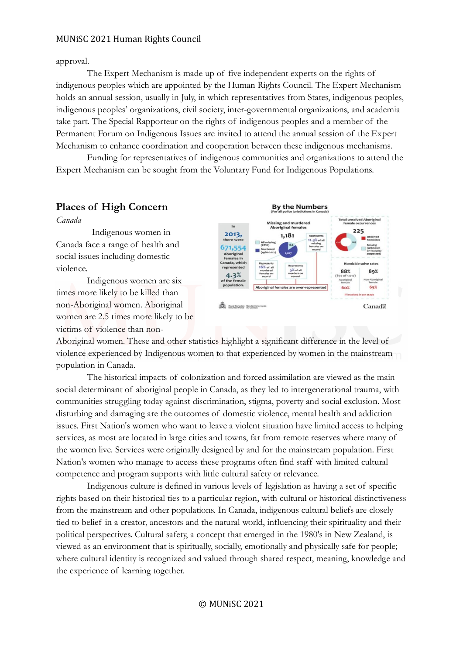approval.

The Expert Mechanism is made up of five independent experts on the rights of indigenous peoples which are appointed by the Human Rights Council. The Expert Mechanism holds an annual session, usually in July, in which representatives from States, indigenous peoples, indigenous peoples' organizations, civil society, inter-governmental organizations, and academia take part. The Special Rapporteur on the rights of indigenous peoples and a member of the Permanent Forum on Indigenous Issues are invited to attend the annual session of the Expert Mechanism to enhance coordination and cooperation between these indigenous mechanisms.

Funding for representatives of indigenous communities and organizations to attend the Expert Mechanism can be sought from the Voluntary Fund for Indigenous Populations.

#### **Places of High Concern**

*Canada*

Indigenous women in Canada face a range of health and social issues including domestic violence.

Indigenous women are six times more likely to be killed than non-Aboriginal women. Aboriginal women are 2.5 times more likely to be victims of violence than non-



Aboriginal women. These and other statistics highlight a significant difference in the level of violence experienced by Indigenous women to that experienced by women in the mainstream population in Canada.

The historical impacts of colonization and forced assimilation are viewed as the main social determinant of aboriginal people in Canada, as they led to intergenerational trauma, with communities struggling today against discrimination, stigma, poverty and social exclusion. Most disturbing and damaging are the outcomes of domestic violence, mental health and addiction issues. First Nation's women who want to leave a violent situation have limited access to helping services, as most are located in large cities and towns, far from remote reserves where many of the women live. Services were originally designed by and for the mainstream population. First Nation's women who manage to access these programs often find staff with limited cultural competence and program supports with little cultural safety or relevance.

Indigenous culture is defined in various levels of legislation as having a set of specific rights based on their historical ties to a particular region, with cultural or historical distinctiveness from the mainstream and other populations. In Canada, indigenous cultural beliefs are closely tied to belief in a creator, ancestors and the natural world, influencing their spirituality and their political perspectives. Cultural safety, a concept that emerged in the 1980's in New Zealand, is viewed as an environment that is spiritually, socially, emotionally and physically safe for people; where cultural identity is recognized and valued through shared respect, meaning, knowledge and the experience of learning together.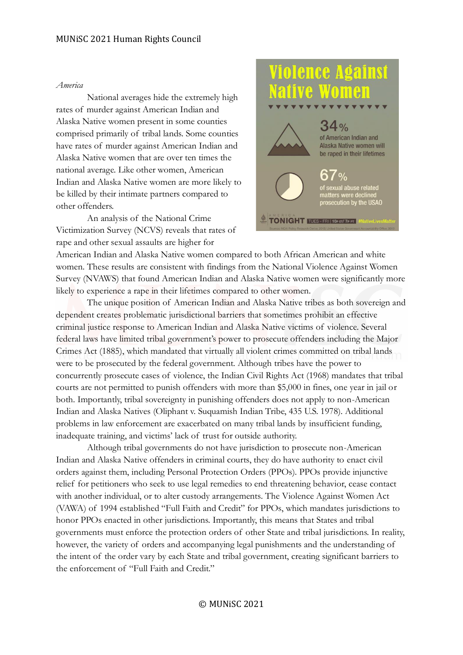#### *America*

National averages hide the extremely high rates of murder against American Indian and Alaska Native women present in some counties comprised primarily of tribal lands. Some counties have rates of murder against American Indian and Alaska Native women that are over ten times the national average. Like other women, American Indian and Alaska Native women are more likely to be killed by their intimate partners compared to other offenders.

An analysis of the National Crime Victimization Survey (NCVS) reveals that rates of rape and other sexual assaults are higher for



American Indian and Alaska Native women compared to both African American and white women. These results are consistent with findings from the National Violence Against Women Survey (NVAWS) that found American Indian and Alaska Native women were significantly more likely to experience a rape in their lifetimes compared to other women.

The unique position of American Indian and Alaska Native tribes as both sovereign and dependent creates problematic jurisdictional barriers that sometimes prohibit an effective criminal justice response to American Indian and Alaska Native victims of violence. Several federal laws have limited tribal government's power to prosecute offenders including the Major Crimes Act (1885), which mandated that virtually all violent crimes committed on tribal lands were to be prosecuted by the federal government. Although tribes have the power to concurrently prosecute cases of violence, the Indian Civil Rights Act (1968) mandates that tribal courts are not permitted to punish offenders with more than \$5,000 in fines, one year in jail or both. Importantly, tribal sovereignty in punishing offenders does not apply to non-American Indian and Alaska Natives (Oliphant v. Suquamish Indian Tribe, 435 U.S. 1978). Additional problems in law enforcement are exacerbated on many tribal lands by insufficient funding, inadequate training, and victims' lack of trust for outside authority.

Although tribal governments do not have jurisdiction to prosecute non-American Indian and Alaska Native offenders in criminal courts, they do have authority to enact civil orders against them, including Personal Protection Orders (PPOs). PPOs provide injunctive relief for petitioners who seek to use legal remedies to end threatening behavior, cease contact with another individual, or to alter custody arrangements. The Violence Against Women Act (VAWA) of 1994 established "Full Faith and Credit" for PPOs, which mandates jurisdictions to honor PPOs enacted in other jurisdictions. Importantly, this means that States and tribal governments must enforce the protection orders of other State and tribal jurisdictions. In reality, however, the variety of orders and accompanying legal punishments and the understanding of the intent of the order vary by each State and tribal government, creating significant barriers to the enforcement of "Full Faith and Credit."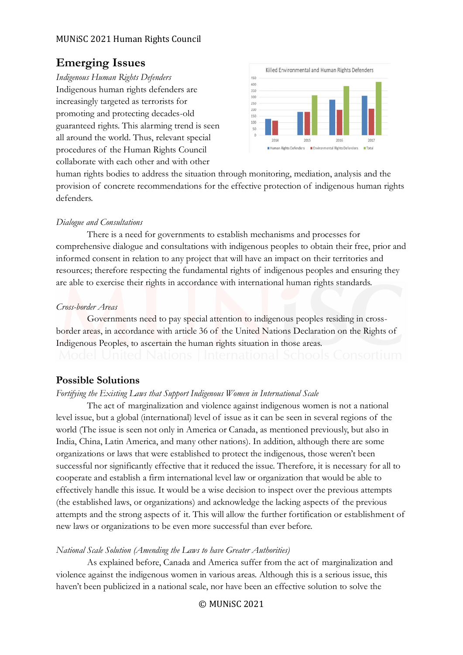# **Emerging Issues**

*Indigenous Human Rights Defenders* Indigenous human rights defenders are increasingly targeted as terrorists for promoting and protecting decades-old guaranteed rights. This alarming trend is seen all around the world. Thus, relevant special procedures of the Human Rights Council collaborate with each other and with other



human rights bodies to address the situation through monitoring, mediation, analysis and the provision of concrete recommendations for the effective protection of indigenous human rights defenders.

## *Dialogue and Consultations*

There is a need for governments to establish mechanisms and processes for comprehensive dialogue and consultations with indigenous peoples to obtain their free, prior and informed consent in relation to any project that will have an impact on their territories and resources; therefore respecting the fundamental rights of indigenous peoples and ensuring they are able to exercise their rights in accordance with international human rights standards.

## *Cross-border Areas*

Governments need to pay special attention to indigenous peoples residing in crossborder areas, in accordance with article 36 of the United Nations Declaration on the Rights of Indigenous Peoples, to ascertain the human rights situation in those areas.

# **Possible Solutions**

#### *Fortifying the Existing Laws that Support Indigenous Women in International Scale*

The act of marginalization and violence against indigenous women is not a national level issue, but a global (international) level of issue as it can be seen in several regions of the world (The issue is seen not only in America or Canada, as mentioned previously, but also in India, China, Latin America, and many other nations). In addition, although there are some organizations or laws that were established to protect the indigenous, those weren't been successful nor significantly effective that it reduced the issue. Therefore, it is necessary for all to cooperate and establish a firm international level law or organization that would be able to effectively handle this issue. It would be a wise decision to inspect over the previous attempts (the established laws, or organizations) and acknowledge the lacking aspects of the previous attempts and the strong aspects of it. This will allow the further fortification or establishment of new laws or organizations to be even more successful than ever before.

## *National Scale Solution (Amending the Laws to have Greater Authorities)*

As explained before, Canada and America suffer from the act of marginalization and violence against the indigenous women in various areas. Although this is a serious issue, this haven't been publicized in a national scale, nor have been an effective solution to solve the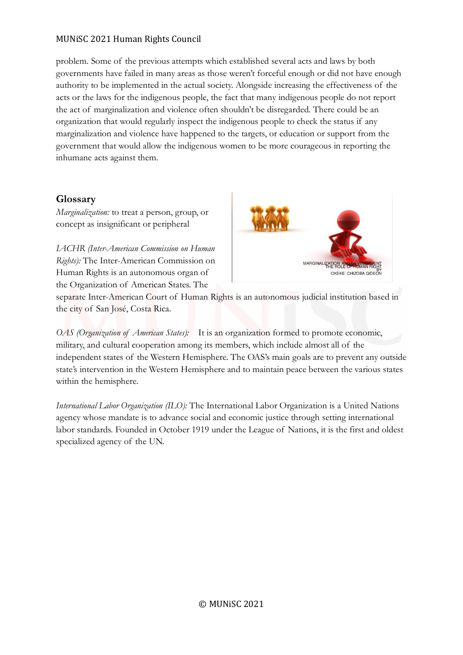problem. Some of the previous attempts which established several acts and laws by both governments have failed in many areas as those weren't forceful enough or did not have enough authority to be implemented in the actual society. Alongside increasing the effectiveness of the acts or the laws for the indigenous people, the fact that many indigenous people do not report the act of marginalization and violence often shouldn't be disregarded. There could be an organization that would regularly inspect the indigenous people to check the status if any marginalization and violence have happened to the targets, or education or support from the government that would allow the indigenous women to be more courageous in reporting the inhumane acts against them.

# **Glossary**

*Marginalization:* to treat a person, group, or concept as insignificant or peripheral

*IACHR (Inter-American Commission on Human Rights):* The Inter-American Commission on Human Rights is an autonomous organ of the Organization of American States. The



separate Inter-American Court of Human Rights is an autonomous judicial institution based in the city of San José, Costa Rica.

*OAS (Organization of American States):* It is an organization formed to promote economic, military, and cultural cooperation among its members, which include almost all of the independent states of the Western Hemisphere. The OAS's main goals are to prevent any outside state's intervention in the Western Hemisphere and to maintain peace between the various states within the hemisphere.

*International Labor Organization (ILO):* The International Labor Organization is a United Nations agency whose mandate is to advance social and economic justice through setting international labor standards. Founded in October 1919 under the League of Nations, it is the first and oldest specialized agency of the UN.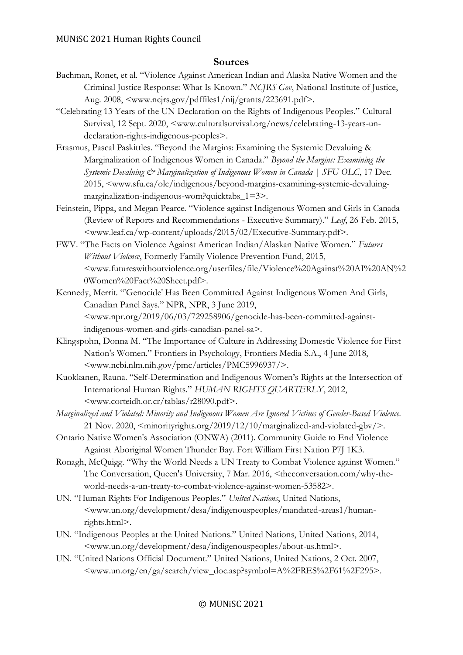## **Sources**

- Bachman, Ronet, et al. "Violence Against American Indian and Alaska Native Women and the Criminal Justice Response: What Is Known." *NCJRS Gov*, National Institute of Justice, Aug. 2008, <www.ncjrs.gov/pdffiles1/nij/grants/223691.pdf>.
- "Celebrating 13 Years of the UN Declaration on the Rights of Indigenous Peoples." Cultural Survival, 12 Sept. 2020, <www.culturalsurvival.org/news/celebrating-13-years-undeclaration-rights-indigenous-peoples>.
- Erasmus, Pascal Paskittles. "Beyond the Margins: Examining the Systemic Devaluing & Marginalization of Indigenous Women in Canada." *Beyond the Margins: Examining the Systemic Devaluing & Marginalization of Indigenous Women in Canada | SFU OLC*, 17 Dec. 2015, <www.sfu.ca/olc/indigenous/beyond-margins-examining-systemic-devaluingmarginalization-indigenous-wom?quicktabs\_1=3>.
- Feinstein, Pippa, and Megan Pearce. "Violence against Indigenous Women and Girls in Canada (Review of Reports and Recommendations - Executive Summary)." *Leaf*, 26 Feb. 2015, <www.leaf.ca/wp-content/uploads/2015/02/Executive-Summary.pdf>.
- FWV. "The Facts on Violence Against American Indian/Alaskan Native Women." *Futures Without Violence*, Formerly Family Violence Prevention Fund, 2015, <www.futureswithoutviolence.org/userfiles/file/Violence%20Against%20AI%20AN%2 0Women%20Fact%20Sheet.pdf>.
- Kennedy, Merrit. "'Genocide' Has Been Committed Against Indigenous Women And Girls, Canadian Panel Says." NPR, NPR, 3 June 2019, <www.npr.org/2019/06/03/729258906/genocide-has-been-committed-againstindigenous-women-and-girls-canadian-panel-sa>.
- Klingspohn, Donna M. "The Importance of Culture in Addressing Domestic Violence for First Nation's Women." Frontiers in Psychology, Frontiers Media S.A., 4 June 2018, <www.ncbi.nlm.nih.gov/pmc/articles/PMC5996937/>.
- Kuokkanen, Rauna. "Self-Determination and Indigenous Women's Rights at the Intersection of International Human Rights." *HUMAN RIGHTS QUARTERLY*, 2012, <www.corteidh.or.cr/tablas/r28090.pdf>.
- *Marginalized and Violated: Minority and Indigenous Women Are Ignored Victims of Gender-Based Violence*. 21 Nov. 2020, <minorityrights.org/2019/12/10/marginalized-and-violated-gbv/>.
- Ontario Native Women's Association (ONWA) (2011). Community Guide to End Violence Against Aboriginal Women Thunder Bay. Fort William First Nation P7J 1K3.
- Ronagh, McQuigg. "Why the World Needs a UN Treaty to Combat Violence against Women." The Conversation, Queen's University, 7 Mar. 2016, <theconversation.com/why-theworld-needs-a-un-treaty-to-combat-violence-against-women-53582>.
- UN. "Human Rights For Indigenous Peoples." *United Nations*, United Nations, <www.un.org/development/desa/indigenouspeoples/mandated-areas1/humanrights.html>.
- UN. "Indigenous Peoples at the United Nations." United Nations, United Nations, 2014, <www.un.org/development/desa/indigenouspeoples/about-us.html>.
- UN. "United Nations Official Document." United Nations, United Nations, 2 Oct. 2007, <www.un.org/en/ga/search/view\_doc.asp?symbol=A%2FRES%2F61%2F295>.